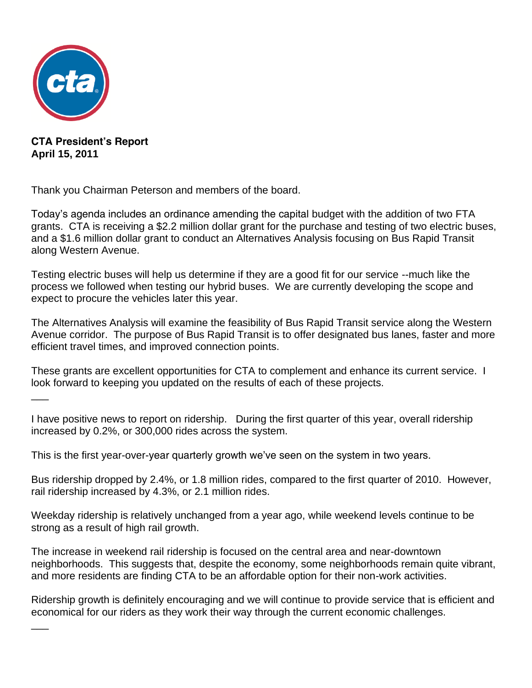

 $\overline{\phantom{a}}$ 

 $\overline{\phantom{a}}$ 

**CTA President's Report April 15, 2011**

Thank you Chairman Peterson and members of the board.

Today's agenda includes an ordinance amending the capital budget with the addition of two FTA grants. CTA is receiving a \$2.2 million dollar grant for the purchase and testing of two electric buses, and a \$1.6 million dollar grant to conduct an Alternatives Analysis focusing on Bus Rapid Transit along Western Avenue.

Testing electric buses will help us determine if they are a good fit for our service --much like the process we followed when testing our hybrid buses. We are currently developing the scope and expect to procure the vehicles later this year.

The Alternatives Analysis will examine the feasibility of Bus Rapid Transit service along the Western Avenue corridor. The purpose of Bus Rapid Transit is to offer designated bus lanes, faster and more efficient travel times, and improved connection points.

These grants are excellent opportunities for CTA to complement and enhance its current service. I look forward to keeping you updated on the results of each of these projects.

I have positive news to report on ridership. During the first quarter of this year, overall ridership increased by 0.2%, or 300,000 rides across the system.

This is the first year-over-year quarterly growth we've seen on the system in two years.

Bus ridership dropped by 2.4%, or 1.8 million rides, compared to the first quarter of 2010. However, rail ridership increased by 4.3%, or 2.1 million rides.

Weekday ridership is relatively unchanged from a year ago, while weekend levels continue to be strong as a result of high rail growth.

The increase in weekend rail ridership is focused on the central area and near-downtown neighborhoods. This suggests that, despite the economy, some neighborhoods remain quite vibrant, and more residents are finding CTA to be an affordable option for their non-work activities.

Ridership growth is definitely encouraging and we will continue to provide service that is efficient and economical for our riders as they work their way through the current economic challenges.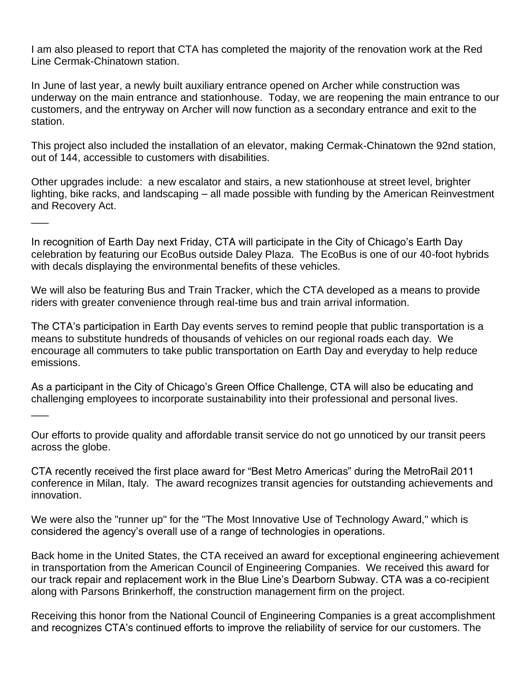I am also pleased to report that CTA has completed the majority of the renovation work at the Red Line Cermak-Chinatown station.

In June of last year, a newly built auxiliary entrance opened on Archer while construction was underway on the main entrance and stationhouse. Today, we are reopening the main entrance to our customers, and the entryway on Archer will now function as a secondary entrance and exit to the station.

This project also included the installation of an elevator, making Cermak-Chinatown the 92nd station, out of 144, accessible to customers with disabilities.

Other upgrades include: a new escalator and stairs, a new stationhouse at street level, brighter lighting, bike racks, and landscaping – all made possible with funding by the American Reinvestment and Recovery Act.

In recognition of Earth Day next Friday, CTA will participate in the City of Chicago's Earth Day celebration by featuring our EcoBus outside Daley Plaza. The EcoBus is one of our 40-foot hybrids with decals displaying the environmental benefits of these vehicles.

 $\overline{\phantom{a}}$ 

 $\overline{\phantom{a}}$ 

We will also be featuring Bus and Train Tracker, which the CTA developed as a means to provide riders with greater convenience through real-time bus and train arrival information.

The CTA's participation in Earth Day events serves to remind people that public transportation is a means to substitute hundreds of thousands of vehicles on our regional roads each day. We encourage all commuters to take public transportation on Earth Day and everyday to help reduce emissions.

As a participant in the City of Chicago's Green Office Challenge, CTA will also be educating and challenging employees to incorporate sustainability into their professional and personal lives.

Our efforts to provide quality and affordable transit service do not go unnoticed by our transit peers across the globe.

CTA recently received the first place award for "Best Metro Americas" during the MetroRail 2011 conference in Milan, Italy. The award recognizes transit agencies for outstanding achievements and innovation.

We were also the "runner up" for the "The Most Innovative Use of Technology Award," which is considered the agency's overall use of a range of technologies in operations.

Back home in the United States, the CTA received an award for exceptional engineering achievement in transportation from the American Council of Engineering Companies. We received this award for our track repair and replacement work in the Blue Line's Dearborn Subway. CTA was a co-recipient along with Parsons Brinkerhoff, the construction management firm on the project.

Receiving this honor from the National Council of Engineering Companies is a great accomplishment and recognizes CTA's continued efforts to improve the reliability of service for our customers. The